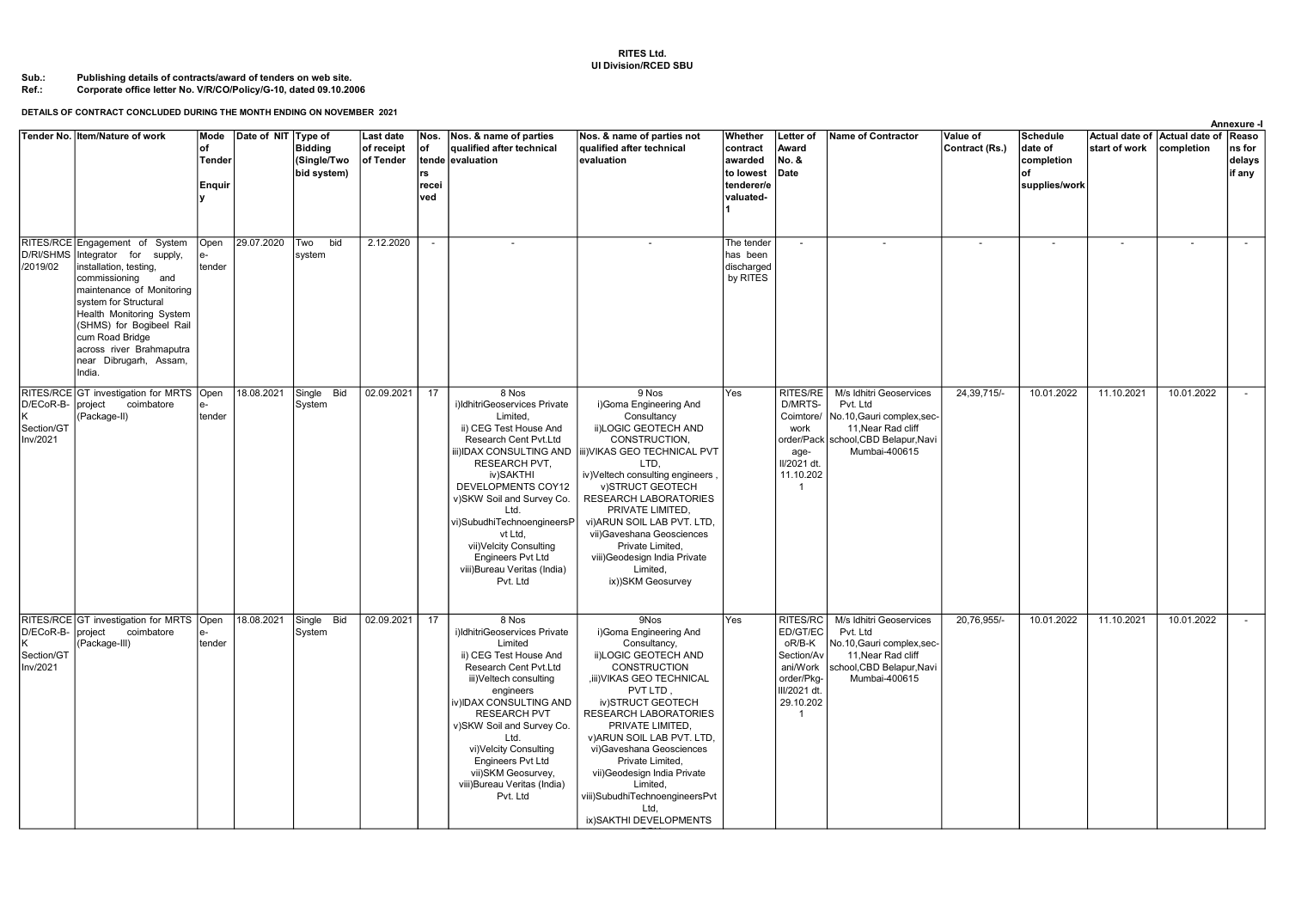## RITES Ltd. UI Division/RCED SBU

# Sub.: Publishing details of contracts/award of tenders on web site. Ref.: Corporate office letter No. V/R/CO/Policy/G-10, dated 09.10.2006

DETAILS OF CONTRACT CONCLUDED DURING THE MONTH ENDING ON NOVEMBER 2021

|                                     | Annexure -                                                                                                                                                                                                                                                                                                  |                                              |                     |                                              |                                      |                             |                                                                                                                                                                                                                                                                                                                                                                            |                                                                                                                                                                                                                                                                                                                                                                                                               |                                                                        |                                                                                                                              |                                                                                                                                                  |                            |                                                          |                                                |            |                                     |
|-------------------------------------|-------------------------------------------------------------------------------------------------------------------------------------------------------------------------------------------------------------------------------------------------------------------------------------------------------------|----------------------------------------------|---------------------|----------------------------------------------|--------------------------------------|-----------------------------|----------------------------------------------------------------------------------------------------------------------------------------------------------------------------------------------------------------------------------------------------------------------------------------------------------------------------------------------------------------------------|---------------------------------------------------------------------------------------------------------------------------------------------------------------------------------------------------------------------------------------------------------------------------------------------------------------------------------------------------------------------------------------------------------------|------------------------------------------------------------------------|------------------------------------------------------------------------------------------------------------------------------|--------------------------------------------------------------------------------------------------------------------------------------------------|----------------------------|----------------------------------------------------------|------------------------------------------------|------------|-------------------------------------|
|                                     | Tender No. Item/Nature of work                                                                                                                                                                                                                                                                              | Mode<br>Ωf<br><b>Tender</b><br><b>Enguir</b> | Date of NIT Type of | <b>Bidding</b><br>(Single/Two<br>bid system) | Last date<br>of receipt<br>of Tender | Nos.<br>rs<br> recei<br>ved | Nos. & name of parties<br>qualified after technical<br>tende evaluation                                                                                                                                                                                                                                                                                                    | Nos. & name of parties not<br>qualified after technical<br>evaluation                                                                                                                                                                                                                                                                                                                                         | Whether<br>contract<br>awarded<br>to lowest<br>tenderer/e<br>valuated- | Letter of<br>Award<br>No. &<br>∣Date                                                                                         | <b>Name of Contractor</b>                                                                                                                        | Value of<br>Contract (Rs.) | Schedule<br>date of<br>completion<br>of<br>supplies/work | Actual date of Actual date of<br>start of work | completion | Reaso<br>ns for<br>delays<br>if any |
| D/RI/SHMS<br>/2019/02               | RITES/RCE Engagement of System<br>Integrator for supply,<br>installation, testing,<br>commissioning<br>and<br>maintenance of Monitoring<br>system for Structural<br>Health Monitoring System<br>(SHMS) for Bogibeel Rail<br>cum Road Bridge<br>across river Brahmaputra<br>near Dibrugarh, Assam,<br>India. | Open<br>tender                               | 29.07.2020          | bid<br>Two<br>system                         | 2.12.2020                            | $\sim$                      |                                                                                                                                                                                                                                                                                                                                                                            |                                                                                                                                                                                                                                                                                                                                                                                                               | The tender<br>nas been<br>discharged<br>by RITES                       | $\sim$                                                                                                                       |                                                                                                                                                  | $\sim$                     | $\blacksquare$                                           | $\sim$                                         | $\sim$     | $\sim$                              |
| D/ECoR-B-<br>Section/GT<br>Inv/2021 | RITES/RCE GT investigation for MRTS Open<br>project<br>coimbatore<br>(Package-II)                                                                                                                                                                                                                           | tender                                       | 18.08.2021          | Single<br>Bid<br>System                      | 02.09.2021                           | 17                          | 8 Nos<br>i)IdhitriGeoservices Private<br>Limited.<br>ii) CEG Test House And<br>Research Cent Pvt.Ltd<br>iii)IDAX CONSULTING AND<br><b>RESEARCH PVT,</b><br>iv)SAKTHI<br>DEVELOPMENTS COY12<br>v)SKW Soil and Survey Co.<br>Ltd.<br>vi)SubudhiTechnoengineersP<br>vt Ltd.<br>vii) Velcity Consulting<br><b>Engineers Pvt Ltd</b><br>viii)Bureau Veritas (India)<br>Pvt. Ltd | $9$ Nos<br>i) Goma Engineering And<br>Consultancy<br>ii)LOGIC GEOTECH AND<br>CONSTRUCTION,<br>iii)VIKAS GEO TECHNICAL PVT<br>LTD.<br>iv)Veltech consulting engineers<br>v)STRUCT GEOTECH<br>RESEARCH LABORATORIES<br>PRIVATE LIMITED,<br>vi)ARUN SOIL LAB PVT. LTD,<br>vii) Gaveshana Geosciences<br>Private Limited,<br>viii) Geodesign India Private<br>Limited.<br>ix))SKM Geosurvey                       | Yes                                                                    | <b>RITES/RE</b><br>D/MRTS-<br>Coimtore/<br>work<br>age-<br>II/2021 dt.<br>11.10.202<br>$\mathbf{1}$                          | M/s Idhitri Geoservices<br>Pvt. Ltd<br>No.10, Gauri complex, sec-<br>11, Near Rad cliff<br>order/Pack school, CBD Belapur, Navi<br>Mumbai-400615 | 24,39,715/-                | 10.01.2022                                               | 11.10.2021                                     | 10.01.2022 | $\sim$                              |
| D/ECoR-B-<br>Section/GT<br>Inv/2021 | RITES/RCE GT investigation for MRTS<br>project<br>coimbatore<br>Package-III)                                                                                                                                                                                                                                | Open<br>tender                               | 18.08.2021          | Single Bid<br>System                         | 02.09.2021                           | 17                          | 8 Nos<br>i)IdhitriGeoservices Private<br>Limited<br>ii) CEG Test House And<br>Research Cent Pvt.Ltd<br>iii)Veltech consulting<br>engineers<br>iv)IDAX CONSULTING AND<br><b>RESEARCH PVT</b><br>v)SKW Soil and Survey Co.<br>Ltd.<br>vi) Velcity Consulting<br><b>Engineers Pvt Ltd</b><br>vii)SKM Geosurvey,<br>viii)Bureau Veritas (India)<br>Pvt. Ltd                    | 9Nos<br>i) Goma Engineering And<br>Consultancy,<br>ii)LOGIC GEOTECH AND<br><b>CONSTRUCTION</b><br>iii) VIKAS GEO TECHNICAL<br>PVT LTD.<br>iv)STRUCT GEOTECH<br><b>RESEARCH LABORATORIES</b><br>PRIVATE LIMITED.<br>v) ARUN SOIL LAB PVT. LTD.<br>vi) Gaveshana Geosciences<br>Private Limited,<br>vii)Geodesign India Private<br>Limited,<br>viii)SubudhiTechnoengineersPvt<br>Ltd,<br>ix)SAKTHI DEVELOPMENTS | Yes                                                                    | <b>RITES/RC</b><br>ED/GT/EC<br>oR/B-K<br>Section/Av<br>ani/Work<br>order/Pkg-<br>III/2021 dt.<br>29.10.202<br>$\overline{1}$ | M/s Idhitri Geoservices<br>Pvt. Ltd<br>No.10, Gauri complex, sec-<br>11, Near Rad cliff<br>school, CBD Belapur, Navi<br>Mumbai-400615            | 20,76,955/-                | 10.01.2022                                               | 11.10.2021                                     | 10.01.2022 | $\sim$                              |